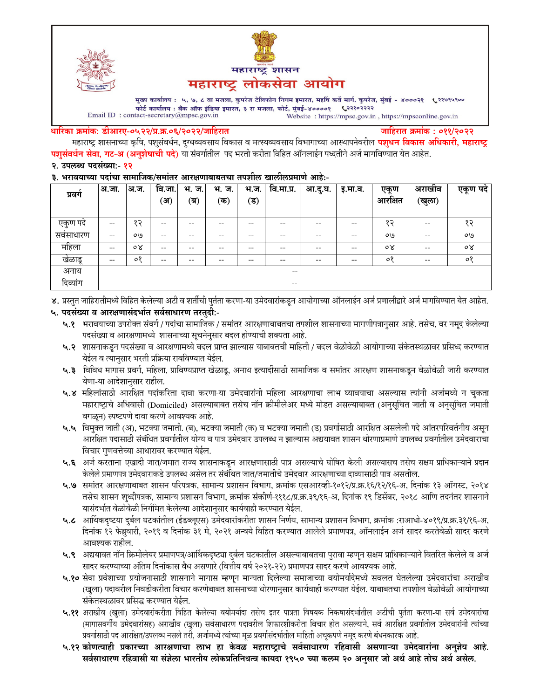



मुख्य कार्यालय : ५, ७, ८ वा मजला, कुपरेज टेलिफोन निगम इमारत, महर्षि कर्वे मार्ग, कुपरेज, मुंबई - ४०००२१ ९२९७९५९०० फोर्ट कार्यालय : बँक ऑफ इंडिया इमारत, ३ रा मजला, फोर्ट, मुंबई-४००००१ ९२११०२२२२ Email ID: contact-secretary@mpsc.gov.in Website: https://mpsc.gov.in, https://mpsconline.gov.in

#### धारिका क्रमांक: डीआरए-०५२२/प्र.क्र.०६/२०२२/जाहिरात

जाहिरात क्रमांक : ०११/२०२२

महाराष्ट्र शासनाच्या कृषि, पशुसंवर्धन, दुग्धव्यवसाय विकास व मत्स्यव्यवसाय विभागाच्या आस्थापनेवरील **पशुधन विकास अधिकारी, महाराष्ट्र** पशुसंवर्धन सेवा, गट-अ (अनुशेषाची पदे) या संवर्गातील पद भरती करीता विहित ऑनलाईन पध्दतीने अर्ज मार्गावण्यात येत आहेत. २. उपलब्ध पदसंख्या:- १२

#### ३. भरावयाच्या पदांचा सामाजिक/समांतर आरक्षणाबाबतचा तपशील खालीलप्रमाणे आहे:-

| प्रवग    | अ.जा.                    | अ.ज.           | वि.जा. | भ.<br>ज. | भ.<br>ज. | भ.ज. | वि.मा.प्र.          | आ.दु.घ. | इ.मा.व. | एकण            | अराखाव | एकूण पदे       |
|----------|--------------------------|----------------|--------|----------|----------|------|---------------------|---------|---------|----------------|--------|----------------|
|          |                          |                | ′अ     | (ब)      | (क)      | ′ड)  |                     |         |         | आरक्षित        | (खुला) |                |
| एकुण पदं | --                       | ÇŞ             | --     | $- -$    | --       | --   | $- -$               | $- -$   | $- -$   | १२             | $- -$  | 85             |
| सवसाधारण | --                       | O <sub>0</sub> | --     | $- -$    | $- -$    | --   | $- -$               | $- -$   | $- -$   | ०७             | $- -$  | ०७             |
| महिला    | $\overline{\phantom{m}}$ | $\circ \times$ | --     | $- -$    | $- -$    | --   | $- -$               | $- -$   | $- -$   | $\circ \times$ | $- -$  | $\circ \times$ |
| खेळाडू   | --                       | $\circ$        | --     | --       | --       | --   | $- -$               | $- -$   | $- -$   | $\circ$        | $- -$  | $\circ$        |
| अनाथ     |                          |                |        |          |          |      | $\hspace{0.05cm} -$ |         |         |                |        |                |
| दिव्यांग |                          |                |        |          |          |      | $- -$               |         |         |                |        |                |

४. प्रस्तुत जाहिरातीमध्ये विहित केलेल्या अटी व शर्तीची पुर्तता करणा-या उमेदवारांकडून आयोगाच्या ऑनलाईन अर्ज प्रणालीद्वारे अर्ज मार्गावण्यात येत आहेत.

# ५. पदसंख्या व आरक्षणासंदर्भात सर्वसाधारण तरतुदी:-

- ५.१ भरावयाच्या उपरोक्त संवर्ग / पदांचा सामाजिक / समांतर आरक्षणाबाबतचा तपशील शासनाच्या मागणीपत्रानुसार आहे. तसेच, वर नमूद केलेल्या पदसंख्या व आरक्षणामध्ये शासनाच्या सूचनेनुसार बदल होण्याची शक्यता आहे.
- ५.२ शासनाकडून पदसंख्या व आरक्षणामध्ये बदल प्राप्त झाल्यास याबाबतची माहिती / बदल वेळोवेळी आयोगाच्या संकेतस्थळावर प्रसिध्द करण्यात येईल व त्यानुसार भरती प्रक्रिया राबविण्यात येईल.
- ५.३ विविध मागास प्रवर्ग, महिला, प्राविण्यप्राप्त खेळाडू, अनाथ इत्यादींसाठी सामाजिक व समांतर आरक्षण शासनाकडून वेळोवेळी जारी करण्यात येणा-या आदेशानुसार राहील.
- ५.४ महिलांसाठी आरक्षित पदांकरिता दावा करणा-या उमेदवारांनी महिला आरक्षणाचा लाभ घ्यावयाचा असल्यास त्यांनी अर्जामध्ये न चुकता महाराष्ट्राचे अधिवासी (Domiciled) असल्याबाबत तसेच नॉन क्रीमीलेअर मध्ये मोडत असल्याबाबत (अनुसूचित जाती व अनुसूचित जमाती वगळून) स्पष्टपणे दावा करणे आवश्यक आहे.
- ५.५ विमुक्त जाती (अ), भटक्या जमाती. (ब), भटक्या जमाती (क) व भटक्या जमाती (ड) प्रवर्गासाठी आरक्षित असलेली पदे आंतरपरिवर्तनीय असुन आरक्षित पदासाठी संबंधित प्रवर्गातील योग्य व पात्र उमेदवार उपलब्ध न झाल्यास अद्ययावत शासन धोरणाप्रमाणे उपलब्ध प्रवर्गातील उमेदवाराचा विचार गुणवत्तेच्या आधारावर करण्यात येईल.
- ५.६ अर्ज करताना एखादी जात/जमात राज्य शासनाकडून आरक्षणासाठी पात्र असल्याचे घोषित केली असल्यासच तसेच सक्षम प्राधिकाऱ्याने प्रदान केलेले प्रमाणपत्र उमेदवाराकडे उपलब्ध असेल तर संबंधित जात/जमातीचे उमेदवार आरक्षणाच्या दाव्यासाठी पात्र असतील.
- ५.७ समांतर आरक्षणाबाबत शासन परिपत्रक, सामान्य प्रशासन विभाग, क्रमांक एसआरव्ही-१०१२/प्र.क्र.१६/१२/१६-अ, दिनांक १३ ऑगस्ट, २०१४ तसेच शासन शुध्दीपत्रक, सामान्य प्रशासन विभाग, क्रमांक संकीर्ण-१११८/प्र.क्र.३९/१६-अ, दिनांक १९ डिसेंबर, २०१८ आणि तदनंतर शासनाने यासंदर्भात वेळोवेळी निर्गमित केलेल्या आदेशानुसार कार्यवाही करण्यात येईल.
- ५.८ आर्थिकदृष्टया दुर्बल घटकांतील (ईडब्लूएस) उमेदवारांकरीता शासन निर्णय, सामान्य प्रशासन विभाग, क्रमांक :राआधो-४०१९/प्र.क्र.३१/१६-अ, दिनांक १२ फेब्रुवारी, २०१९ व दिनांक ३१ मे, २०२१ अन्वये विहित करण्यात आलेले प्रमाणपत्र, ऑनलाईन अर्ज सादर करतेवेळी सादर करणे आवश्यक राहील.
- ५.९ अद्ययावत नॉन क्रिमीलेयर प्रमाणपत्र/आर्थिकदृष्ट्या दुर्बल घटकातील असल्याबाबतचा पुरावा म्हणून सक्षम प्राधिकाऱ्याने वितरित केलेले व अर्ज सादर करण्याच्या अंतिम दिनांकास वैध असणारे (वित्तीय वर्ष २०२१-२२) प्रमाणपत्र सादर करणे आवश्यक आहे.
- ५.१० सेवा प्रवेशाच्या प्रयोजनासाठी शासनाने मागास म्हणून मान्यता दिलेल्या समाजाच्या वयोमर्यादेमध्ये सवलत घेतलेल्या उमेदवारांचा अराखीव (खुला) पदावरील निवडीकरीता विचार करणेबाबत शासनाच्या धोरणानुसार कार्यवाही करण्यात येईल. याबाबतचा तपशील वेळोवेळी आयोगाच्या संकेतस्थळावर प्रसिद्ध करण्यात येईल.
- ५.११ अराखीव (खुला) उमेदवारांकरीता विहित केलेल्या वयोमर्यादा तसेच इतर पात्रता विषयक निकषासंदर्भातील अटींची पुर्तता करणा-या सर्व उमेदवारांचा (मागासवर्गीय उमेदवारांसह) अराखीव (खुला) सर्वसाधारण पदावरील शिफारशीकरीता विचार होत असल्याने, सर्व आरक्षित प्रवर्गातील उमेदवारांनी त्यांच्या प्रवर्गासाठी पद आरक्षित/उपलब्ध नसले तरी, अर्जामध्ये त्यांच्या मूळ प्रवर्गासंदर्भातील माहिती अचूकपणे नमूद करणे बंधनकारक आहे.
- ५.१२ कोणत्याही प्रकारच्या आरक्षणाचा लाभ हा केवळ महाराष्ट्राचे सर्वसाधारण रहिवासी असणाऱ्या उमेदवारांना अनुज़ेय आहे. सर्वसाधारण रहिवासी या संज्ञेला भारतीय लोकप्रतिनिधत्व कायदा १९५० च्या कलम २० अनुसार जो अर्थ आहे तोच अर्थ असेल.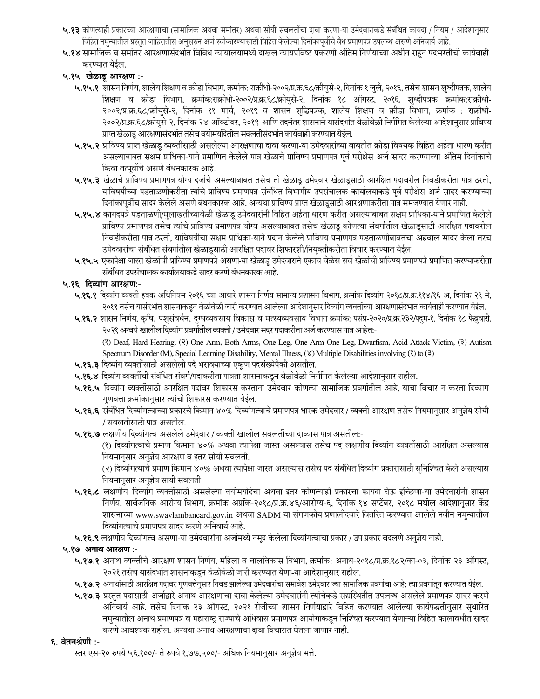- ५.१३ कोणत्याही प्रकारच्या आरक्षणाचा (सामाजिक अथवा समांतर) अथवा सोयी सवलतींचा दावा करणा-या उमेदवाराकडे संबंधित कायदा / नियम / आदेशानुसार विहित नमुन्यातील प्रस्तुत जाहिरातीस अनुसरुन अर्ज स्वीकारण्यासाठी विहित केलेल्या दिनांकापूर्वीचे वैध प्रमाणपत्र उपलब्ध असणे अनिवार्य आहे.
- ५.१४ सामाजिक व समांतर आरक्षणासंदर्भात विविध न्यायालयामध्ये दाखल न्यायप्रविष्ट प्रकरणी अंतिम निर्णयाच्या अधीन राहन पदभरतीची कार्यवाही करण्यात येईल.
- ५.१५ खेळाडू आरक्षण :-
	- ५.१५.१ शासन निर्णय, शालेय शिक्षण व क्रीडा विभाग, क्रमांक: राक्रीधो-२००२/प्र.क्र.६८/क्रीयुसे-२, दिनांक १ जुलै, २०१६, तसेच शासन शुध्दीपत्रक, शालेय शिक्षण व क्रीडा विभाग, क्रमांक:राक्रीधो-२००२/प्र.क.६८/क्रीयुसे-२, दिनांक १८ ऑगस्ट, २०१६, शुध्दीपत्रक क्रमांक:राक्रीधो-२००२/प्र.क्र.६८/क्रीयुसे-२, दिनांक ११ मार्च, २०१९ व शासन शुद्धिपत्रक, शालेय शिक्षण व क्रीडा विभाग, क्रमांक : राक्रीधो-२००२/प्र.क्र.६८/क्रीयसे-२, दिनांक २४ ऑक्टोबर, २०१९ आणि तदनंतर शासनाने यासंदर्भात वेळोवेळी निर्गमित केलेल्या आदेशानुसार प्राविण्य प्राप्त खेळाडू आरक्षणासंदर्भात तसेच वयोमर्यादेतील सवलतीसंदर्भात कार्यवाही करण्यात येईल.
	- ५.१५.२ प्राविण्य प्राप्त खेळाडू व्यक्तींसाठी असलेल्या आरक्षणाचा दावा करणा-या उमेदवारांच्या बाबतीत क्रीडा विषयक विहित अर्हता धारण करीत असल्याबाबत सक्षम प्राधिका-याने प्रमाणित केलेले पात्र खेळाचे प्राविण्य प्रमाणपत्र पूर्व परीक्षेस अर्ज सादर करण्याच्या अंतिम दिनांकाचे किंवा तत्पूर्वीचे असणे बंधनकारक आहे.
	- ५.१५.३ खेळाचे प्राविण्य प्रमाणपत्र योग्य दर्जाचे असल्याबाबत तसेच तो खेळाडू उमेदवार खेळाडूसाठी आरक्षित पदावरील निवडीकरीता पात्र ठरतो, याविषयीच्या पडताळणीकरीता त्यांचे प्राविण्य प्रमाणपत्र संबंधित विभागीय उपसंचालक कार्यालयाकडे पूर्व परीक्षेस अर्ज सादर करण्याच्या दिनांकापूर्वीच सादर केलेले असणे बंधनकारक आहे. अन्यथा प्राविण्य प्राप्त खेळाडूसाठी आरक्षणाकरीता पात्र समजण्यात येणार नाही.
	- ५.१५.४ कागदपत्रे पडताळणी/मुलाखतीच्यावेळी खेळाडू उमेदवारांनी विहित अर्हता धारण करीत असल्याबाबत सक्षम प्राधिका-याने प्रमाणित केलेले प्राविण्य प्रमाणपत्र तसेच त्यांचे प्राविण्य प्रमाणपत्र योग्य असल्याबाबत तसेच खेळाडू कोणत्या संवर्गातील खेळाडूसाठी आरक्षित पदावरील निवडीकरीता पात्र ठरतो, याविषयीचा सक्षम प्राधिका-याने प्रदान केलेले प्राविण्य प्रमाणपत्र पडताळणीबाबतचा अहवाल सादर केला तरच उमेदवारांचा संबंधित संवर्गातील खेळाडूसाठी आरक्षित पदावर शिफारशी/नियुक्तीकरीता विचार करण्यात येईल.
	- ५.१५.५ एकापेक्षा जास्त खेळांची प्राविण्य प्रमाणपत्रे असणा-या खेळाडू उमेदवाराने एकाच वेळेस सर्व खेळांची प्राविण्य प्रमाणपत्रे प्रमाणित करण्याकरीता संबंधित उपसंचालक कार्यालयाकडे सादर करणे बंधनकारक आहे.

### ५.१६ दिव्यांग आरक्षण:-

- ५.१६.१ दिव्यांग व्यक्ती हक्क अधिनियम २०१६ च्या आधारे शासन निर्णय सामान्य प्रशासन विभाग, क्रमांक दिव्यांग २०१८/प्र.क्र.११४/१६ अ, दिनांक २९ मे, २०१९ तसेच यासंदर्भात शासनाकडून वेळोवेळी जारी करण्यात आलेल्या आदेशानुसार दिव्यांग व्यक्तींच्या आरक्षणासंदर्भात कार्यवाही करण्यात येईल.
- ५.१६.२ शासन निर्णय, कृषि, पशुसंवर्धन, दुग्धव्यवसाय विकास व मत्स्यव्यवसाय विभाग क्रमांक: पसंप्र-२०२०/प्र.क्र.२३२/पदुम-१, दिनांक १८ फेब्रुवारी, २०२१ अन्वये खालील दिव्यांग प्रवर्गातील व्यक्ती / उमेदवार सदर पदाकरीता अर्ज करण्यास पात्र आहेत:-

(?) Deaf, Hard Hearing, (?) One Arm, Both Arms, One Leg, One Arm One Leg, Dwarfism, Acid Attack Victim, (3) Autism Spectrum Disorder (M), Special Learning Disability, Mental Illness, (Y) Multiple Disabilities involving (?) to (?)

- ५.१६.३ दिव्यांग व्यक्तींसाठी असलेली पदे भरावयाच्या एकृण पदसंख्येपैकी असतील.
- ५.१६.४ दिव्यांग व्यक्तींची संबंधित संवर्ग/पदाकरीता पात्रता शासनाकडून वेळोवेळी निर्गमित केलेल्या आदेशानुसार राहील.
- ५.**१६.५** दिव्यांग व्यक्तींसाठी आरक्षित पदांवर शिफारस करताना उमेदवार कोणत्या सामाजिक प्रवर्गातील आहे, याचा विचार न करता दिव्यांग गुणवत्ता क्रमांकानुसार त्यांची शिफारस करण्यात येईल.
- ५.१६.६ संबंधित दिव्यांगत्वाच्या प्रकारचे किमान ४०% दिव्यांगत्वाचे प्रमाणपत्र धारक उमेदवार / व्यक्ती आरक्षण तसेच नियमानुसार अनुज्ञेय सोयी / सवलतीसाठी पात्र असतील.
- ५.१६.७ लक्षणीय दिव्यांगत्व असलेले उमेदवार / व्यक्ती खालील सवलतींच्या दाव्यास पात्र असतील:-

(१) दिव्यांगत्वाचे प्रमाण किमान ४०% अथवा त्यापेक्षा जास्त असल्यास तसेच पद लक्षणीय दिव्यांग व्यक्तींसाठी आरक्षित असल्यास नियमानुसार अनुज्ञेय आरक्षण व इतर सोयी सवलती.

(२) दिव्यांगत्याचे प्रमाण किमान ४०% अथवा त्यापेक्षा जास्त असल्यास तसेच पद संबंधित दिव्यांग प्रकारासाठी सुनिश्चित केले असल्यास नियमानुसार अनुज्ञेय सायी सवलती

- ५.१६.८ लक्षणीय दिव्यांग व्यक्तींसाठी असलेल्या वयोमर्यादेचा अथवा इतर कोणत्याही प्रकारचा फायदा घेऊ इच्छिणा-या उमेदवारांनी शासन निर्णय, सार्वजनिक आरोग्य विभाग, क्रमांक अप्रकि-२०१८/प्र.क्र.४६/आरोग्य-६, दिनांक १४ सप्टेंबर, २०१८ मधील आदेशानुसार केंद्र शासनाच्या www.swavlambancard.gov.in अथवा SADM या संगणकीय प्रणालीदवारे वितरित करण्यात आलेले नवीन नमुन्यातील दिव्यांगत्वाचे प्रमाणपत्र सादर करणे अनिवार्य आहे.
- ५.१६.९ लक्षणीय दिव्यांगत्व असणा-या उमेदवारांना अर्जामध्ये नमूद केलेला दिव्यांगत्वाचा प्रकार / उप प्रकार बदलणे अनुज्ञेय नाही.

### ५.१७ अनाथ आरक्षण :-

- ५.१७.१ अनाथ व्यक्तींचे आरक्षण शासन निर्णय, महिला व बालविकास विभाग, क्रमांक: अनाथ-२०१८/प्र.क्र.१८२/का-०३, दिनांक २३ ऑगस्ट, २०२१ तसेच यासंदर्भात शासनाकडून वेळोवेळी जारी करण्यात येणा-या आदेशानुसार राहील.
- ५.१७.२ अनाथांसाठी आरक्षित पदावर गुणवत्तेनुसार निवड झालेल्या उमेदवारांचा समावेश उमेदवार ज्या सामाजिक प्रवर्गाचा आहे; त्या प्रवर्गातून करण्यात येईल.
- ५.१७.३ प्रस्तुत पदासाठी अर्जाद्वारे अनाथ आरक्षणाचा दावा केलेल्या उमेदवारांनी त्यांचेकडे सद्यस्थितीत उपलब्ध असलेले प्रमाणपत्र सादर करणे अनिवार्य आहे. तसेच दिनांक २३ ऑगस्ट, २०२१ रोजीच्या शासन निर्णयाद्वारे विहित करण्यात आलेल्या कार्यपद्धतीनुसार सुधारित नमुन्यातील अनाथ प्रमाणपत्र व महाराष्ट्र राज्याचे अधिवास प्रमाणपत्र आयोगाकडून निश्चित करण्यात येणाऱ्या विहित कालावधीत सादर करणे आवश्यक राहील. अन्यथा अनाथ आरक्षणाचा दावा विचारात घेतला जाणार नाही.

#### ६. वेतनश्रेणी :-

स्तर एस-२० रुपये ५६,१००/- ते रुपये १,७७,५००/- अधिक नियमानुसार अनुज्ञेय भत्ते.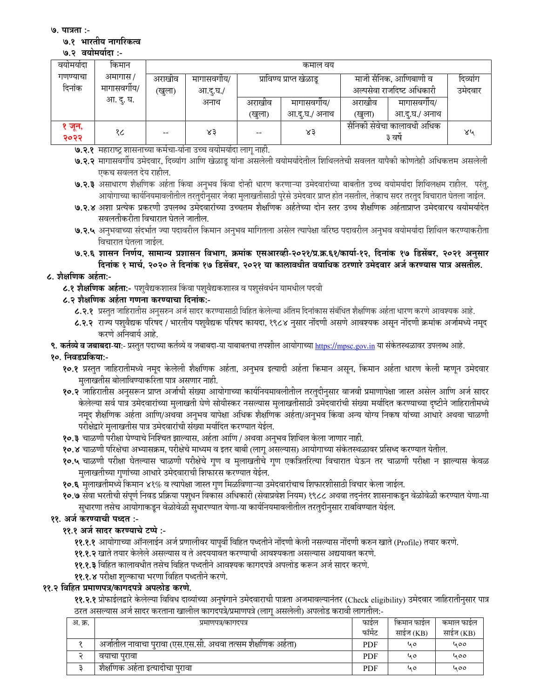७. पात्रता :-

#### ७.१ भारतीय नागरिकत्व

#### ७.२ वयोमर्यादा:-

| वयामयोदा       | किमान        | कमाल वय              |          |        |                          |                                      |               |         |  |
|----------------|--------------|----------------------|----------|--------|--------------------------|--------------------------------------|---------------|---------|--|
| गणण्याचा       | अमागास /     | अराखीव<br>मागासवगीय/ |          |        | प्राविण्य प्राप्त खेळाडू | माजी सैनिक, आणिबाणी व                | दिव्यांग      |         |  |
| दिनांक         | मागासवर्गीय/ | (खुला)               | आ.दू.घ./ |        |                          | अल्पसेवा राजदिष्ट अधिकारी            |               | उमेदवार |  |
|                | आ. दु. घ.    |                      | अनाथ     | अराखीव | मागासवगाय/               | अराखीव                               | मागासवगीय/    |         |  |
|                |              |                      |          | (खुला) | आ.द.घ./ अनाथ             | (खुला)                               | आ.दु.घ./ अनाथ |         |  |
| १ जून,<br>२०२२ | १८           | $- -$                | ४३       | --     | ४३                       | सैनिकी सेवेचा कालावधी अधिक<br>३ वर्ष |               | ४५      |  |

- ७.२.१ महाराष्ट्र शासनाच्या कर्मचा-यांना उच्च वयोमर्यादा लागू नाही.
- ७.२.२ मागासवर्गीय उमेदवार, दिव्यांग आणि खेळाडू यांना असलेली वयोमर्यादेतील शिथिलतेची सवलत यापैकी कोणतेही अधिकत्तम असलेली एकच सवलत देय राहील.
- ७.२.३ असाधारण शैक्षणिक अर्हता किंवा अनुभव किंवा दोन्ही धारण करणाऱ्या उमेदवारांच्या बाबतीत उच्च वयोमर्यादा शिथिलक्षम राहील. परंतु, आयोगाच्या कार्यनियमावलीतील तरतुदीनुसार जेव्हा मुलाखतीसाठी पुरेसे उमेदवार प्राप्त होत नसतील, तेव्हाच सदर तरतुद विचारात घेतला जाईल.
- ७.२.४ अशा प्रत्येक प्रकरणी उपलब्ध उमेदवारांच्या उच्चतम शैक्षणिक अर्हतेच्या दोन स्तर उच्च शैक्षणिक अर्हताप्राप्त उमेदवारच वयोमर्यादेत सवलतीकरीता विचारात घेतले जातील.
- ७.२.५ अनुभवाच्या संदर्भात ज्या पदावरील किमान अनुभव मागितला असेल त्यापेक्षा वरिष्ठ पदावरील अनुभव वयोमर्यादा शिथिल करण्याकरीता विचारात घेतला जाईल.
- ७.२.६ शासन निर्णय, सामान्य प्रशासन विभाग, क्रमांक एसआरव्ही-२०२१/प्र.क्र.६१/कार्या-१२, दिनांक १७ डिसेंबर, २०२१ अनुसार दिनांक १ मार्च, २०२० ते दिनांक १७ डिसेंबर, २०२१ या कालावधीत वयाधिक ठरणारे उमेदवार अर्ज करण्यास पात्र असतील.

## ८. शैक्षणिक अर्हता:-

८.१ शैक्षणिक अर्हता:- पश्**वैद्यकशास्त्र किंवा पश्**वैद्यकशास्त्र व पश्**संवर्धन यामधील पदवी** 

## ८.२ शैक्षणिक अर्हता गणना करण्याचा दिनांक:-

- ८.२.१ प्रस्तुत जाहिरातीस अनुसरुन अर्ज सादर करण्यासाठी विहित केलेल्या अंतिम दिनांकास संबंधित शैक्षणिक अर्हता धारण करणे आवश्यक आहे.
- ८.२.२ राज्य पशुवैद्यक परिषद / भारतीय पशुवैद्यक परिषद कायदा, १९८४ नुसार नोंदणी असणे आवश्यक असून नोंदणी क्रमांक अर्जामध्ये नमूद करणे अनिवार्य आहे.
- **९. कर्तव्ये व जबाबदा-या:** प्रस्तुत पदाच्या कर्तव्ये व जबाबदा-या याबाबतचा तपशील आयोगाच्या <u>https://mpsc.gov.in</u> या संकेतस्थळावर उपलब्ध आहे.

# १०. निवडप्रकिया:-

- १०.१ प्रस्तुत जाहिरातीमध्ये नमूद केलेली शैक्षणिक अर्हता, अनुभव इत्यादी अर्हता किमान असून, किमान अर्हता धारण केली म्हणून उमेदवार -मुलाखतीस बोलाविण्याकरिता पात्र असणार नाही.
- १०.२ जाहिरातीस अनुसरून प्राप्त अर्जाची संख्या आयोगाच्या कार्यनियमावलीतील तरतुदीनुसार वाजवी प्रमाणापेक्षा जास्त असेल आणि अर्ज सादर केलेल्या सर्व पात्र उमेदवारांच्या मुलाखती घेणे सोयीस्कर नसल्यास मुलाखतीसाठी उमेदवारांची संख्या मर्यादित करण्याच्या दृष्टीने जाहिरातीमध्ये नमूद शैक्षणिक अर्हता आणि/अथवा अनुभव यापेक्षा अधिक शैक्षणिक अर्हता/अनुभव किंवा अन्य योग्य निकष यांच्या आधारे अथवा चाळणी परीक्षेद्वारे मुलाखतीस पात्र उमेदवारांची संख्या मर्यादित करण्यात येईल.
- १०.३ चाळणी परीक्षा घेण्याचे निश्चित झाल्यास, अर्हता आणि / अथवा अनुभव शिथिल केला जाणार नाही.
- १०.४ चाळणी परिक्षेचा अभ्यासक्रम, परीक्षेचे माध्यम व इतर बाबी (लागू असल्यास) आयोगाच्या संकेतस्थळावर प्रसिध्द करण्यात येतील.
- १०.५ चाळणी परीक्षा घेतल्यास चाळणी परीक्षेचे गुण व मुलाखतीचे गुण एकत्रितरित्या विचारात घेऊन तर चाळणी परीक्षा न झाल्यास केवळ मुलाखतीच्या गुणांच्या आधारे उमेदवाराची शिफारस करण्यात येईल.
- १०.६ मुलाखतीमध्ये किमान ४१% व त्यापेक्षा जास्त गुण मिळविणाऱ्या उमेदवारांचाच शिफारशीसाठी विचार केला जाईल.
- १०.७ सेवा भरतीची संपूर्ण निवड प्रक्रिया पशुधन विकास अधिकारी (सेवाप्रवेश नियम) १९८८ अथवा तद्नंतर शासनाकडून वेळोवेळी करण्यात येणा-या सुधारणा तसेच आयोगाकडून वेळोवेळी सुधारण्यात येणा-या कार्यानयमावलीतील तरतुदीनुसार राबविण्यात येईल.

# ११. अर्ज करण्याची पध्दत :-

# ११.१ अर्ज सादर करण्याचे टप्पे :-

- **११.१.१** आयोगाच्या ऑनलाईन अर्ज प्रणालीवर यापुर्वी विहित पध्दतीने नोंदणी केली नसल्यास नोंदणी करुन खाते (Profile) तयार करणे.
- ११.१.२ खाते तयार केलेले असल्यास व ते अदययावत करण्याची आवश्यकता असल्यास अद्ययावत करणे.
- ११.१.३ विहित कालावधीत तसेच विहित पध्दतीने आवश्यक कागदपत्रे अपलोड करून अर्ज सादर करणे.
- ११.१.४ परीक्षा शुल्काचा भरणा विहित पध्दतीने करणे.

### ११.२ विहित प्रमाणपत्र/कागदपत्रे अपलोड करणे.

**११.२.१** प्रोफाईलद्वारे केलेल्या विविध दाव्यांच्या अनुषंगाने उमेदवाराची पात्रता अजमावल्यानंतर (Check eligibility) उमेदवार जाहिरातीनुसार पात्र ठरत असल्यास अर्ज सादर करताना खालील कागदपत्रे/प्रमाणपत्रे (लागू असलेली) अपलोड करावी लागतील:-

| अ. क्र. | प्रमाणपत्र/कागदपत्र                                        | फाइल       | किमान फाईल | कमाल फाइल |
|---------|------------------------------------------------------------|------------|------------|-----------|
|         |                                                            | फॉर्मेट    | साईज (KB)  | साईज (KB) |
|         | अजातील नावाचा पुरावा (एस.एस.सी. अथवा तत्सम शैक्षणिक अहेता) | PDF        | <b>40</b>  | 400       |
|         | वयाचा पुरावा                                               | <b>PDF</b> | u o        | 000       |
|         | शैक्षोणक अहेता इत्यादोचा पुरावा                            | <b>PDF</b> | u o        | 400       |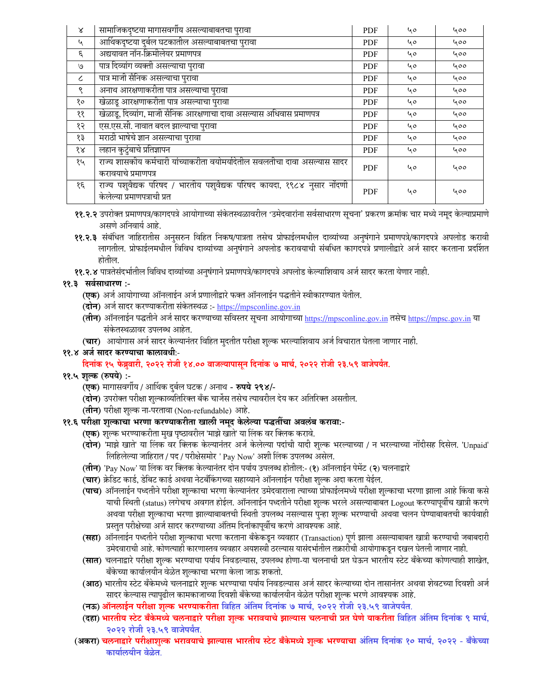| $\boldsymbol{\lambda}$      | सामाजिकदृष्टया मागासवर्गीय असल्याबाबतचा पुरावा                                                         | <b>PDF</b> | 40 | 400 |
|-----------------------------|--------------------------------------------------------------------------------------------------------|------------|----|-----|
| $\mathcal{L}_{\mathcal{A}}$ | आर्थिकदृष्टया दुर्बल घटकातील असल्याबाबतचा पुरावा                                                       | <b>PDF</b> | ५० | 400 |
| ξ.                          | अद्ययावत नॉन-क्रिमीलेयर प्रमाणपत्र                                                                     | <b>PDF</b> | ५० | 400 |
| ٯا                          | पात्र दिव्यांग व्यक्ती असल्याचा पुरावा                                                                 | <b>PDF</b> | 40 | 400 |
| $\epsilon$                  | पात्र माजी सैनिक असल्याचा पुरावा                                                                       | <b>PDF</b> | ५० | 400 |
| ৎ                           | अनाथ आरक्षणाकरीता पात्र असल्याचा पुरावा                                                                | <b>PDF</b> | 40 | 400 |
| १०                          | खेळाडू आरक्षणाकरीता पात्र असल्याचा पुरावा                                                              | <b>PDF</b> | 40 | 400 |
| ११                          | खेळाडू, दिव्यांग, माजी सैनिक आरक्षणाचा दावा असल्यास अधिवास प्रमाणपत्र                                  | <b>PDF</b> | 40 | 400 |
| १२                          | एस.एस.सी. नावात बदल झाल्याचा पुरावा                                                                    | PDF        | ५० | 400 |
| १३                          | मराठी भाषेचे ज्ञान असल्याचा पुरावा                                                                     | <b>PDF</b> | 40 | 400 |
| १४                          | लहान कुटुंबाचे प्रतिज्ञापन                                                                             | <b>PDF</b> | 40 | 400 |
| १५                          | राज्य शासकीय कर्मचारी यांच्याकरीता वयोमर्यादेतील सवलतीचा दावा असल्यास सादर<br>करावयाचे प्रमाणपत्र      | <b>PDF</b> | 40 | 400 |
| १६                          | राज्य पशुवैद्यक परिषद / भारतीय पशुवैद्यक परिषद कायदा, १९८४ नुसार नोंदणी<br>केलेल्या प्रमाणपत्राची प्रत | <b>PDF</b> | 40 | 400 |

- ११.२.२ उपरोक्त प्रमाणपत्र/कागदपत्रे आयोगाच्या संकेतस्थळावरील 'उमेदवारांना सर्वसाधारण सूचना' प्रकरण क्रमांक चार मध्ये नमूद केल्याप्रमाणे असणे अनिवार्य आहे.
- ११.२.३ संबंधित जाहिरातीस अनुसरुन विहित निकष/पात्रता तसेच प्रोफाईलमधील दाव्यांच्या अनुषंगाने प्रमाणपत्रे/कागदपत्रे अपलोड करावी लागतील. प्रोफाईलमधील विविध दाव्यांच्या अनुषंगाने अपलोड करावयाची संबधित कागदपत्रे प्रणालीद्वारे अर्ज सादर करताना प्रदर्शित होतील.
- ११.२.४ पात्रतेसंदर्भातील विविध दाव्यांच्या अनुषंगाने प्रमाणपत्रे/कागदपत्रे अपलोड केल्याशिवाय अर्ज सादर करता येणार नाही.

## ११.३ सर्वसाधारण :-

- **(एक)** अर्ज आयोगाच्या ऑनलाईन अर्ज प्रणालीद्वारे फक्त ऑनलाईन पद्धतीने स्वीकारण्यात येतील.
- (दोन) अर्ज सादर करण्याकरीता संकेतस्थळ :- https://mpsconline.gov.in
- (तीन) ऑनलाईन पद्धतीने अर्ज सादर करण्याच्या सविस्तर सूचना आयोगाच्या https://mpsconline.gov.in तसेच https://mpsc.gov.in या संकेतस्थळावर उपलब्ध आहेत.
- (चार) आयोगास अर्ज सादर केल्यानंतर विहित मुदतीत परीक्षा शुल्क भरल्याशिवाय अर्ज विचारात घेतला जाणार नाही.

### ११.४ अर्ज सादर करण्याचा कालावधीः-

# दिनांक १५ फेब्रुवारी, २०२२ रोजी १४.०० वाजल्यापासून दिनांक ७ मार्च, २०२२ रोजी २३.५९ वाजेपर्यंत.

### ११.५ शुल्क (रुपये) :-

- **(एक)** मागासवर्गीय / आर्थिक दुर्बल घटक / अनाथ **रुपये २९४/**-
- **(दोन)** उपरोक्त परीक्षा शुल्काव्यतिरिक्त बँक चार्जेस तसेच त्यावरील देय कर अतिरिक्त असतील.
- (**तीन**) परीक्षा शुल्क ना-परतावा (Non-refundable) आहे.

# ११.६ परीक्षा शुल्काचा भरणा करण्याकरीता खाली नमूद केलेल्या पद्धतींचा अवलंब करावा:-

- **(एक)** शुल्क भरण्याकरीता मुख पृष्ठावरील 'माझे खाते' या लिंक वर क्लिक करावे.
- (**दोन**) 'माझे खाते' या लिंक वर क्लिक केल्यानंतर अर्ज केलेल्या पदांची यादी शुल्क भरल्याच्या / न भरल्याच्या नोंदीसह दिसेल. 'Unpaid' लिहिलेल्या जाहिरात / पद / परीक्षेसमोर ' Pay Now' अशी लिंक उपलब्ध असेल.
- (**तीन**) 'Pay Now' या लिंक वर क्लिक केल्यानंतर दोन पर्याय उपलब्ध होतील:- (१) ऑनलाईन पेमेंट (२) चलनाद्वारे
- (**चार**) क्रेडिट कार्ड, डेबिट कार्ड अथवा नेटबँकिंगच्या सहाय्याने ऑनलाईन परीक्षा शुल्क अदा करता येईल.
- **(पाच)** ऑनलाईन पध्दतीने परीक्षा शुल्काचा भरणा केल्यानंतर उमेदवाराला त्याच्या प्रोफाईलमध्ये परीक्षा शुल्काचा भरणा झाला आहे किंवा कसे याची स्थिती (status) लगेचच अवगत होईल. ऑनलाईन पध्दतीने परीक्षा शुल्क भरले असल्याबाबत Logout करण्यापूर्वीच खात्री करणे अथवा परीक्षा शुल्काचा भरणा झाल्याबाबतची स्थिती उपलब्ध नसल्यास पुन्हा शुल्क भरण्याची अथवा चलन घेण्याबाबतची कार्यवाही प्रस्तुत परीक्षेच्या अजे सादर करण्याच्या अंतिम दिनांकापूर्वीच करणे आवश्यक आहे.
- **(सहा)** ऑनलाईन पध्दतीने परीक्षा शुल्काचा भरणा करताना बँकेकडून व्यवहार (Transaction) पूर्ण झाला असल्याबाबत खात्री करण्याची जबाबदारी उमेदवाराची आहे. कोणत्याही कारणास्तव व्यवहार अयशस्वी ठरल्यास यासंदर्भातील तक्रारीची आयोगाकडून दखल घेतली जाणार नाही.
- (**सात**) चलनाद्वारे परीक्षा शुल्क भरण्याचा पर्याय निवडल्यास, उपलब्ध होणा-या चलनाची प्रत घेऊन भारतीय स्टेट बॅकेच्या कोणत्याही शाखेत, बँकेच्या कार्यालयीन वेळेत शुल्काचा भरणा केला जाऊ शकतो.
- (**आठ**) भारतीय स्टेट बँकेमध्ये चलनाद्वारे शुल्क भरण्याचा पर्याय निवडल्यास अर्ज सादर केल्याच्या दोन तासानंतर अथवा शेवटच्या दिवशी अर्ज सादर केल्यास त्यापुढील कामकाजाच्या दिवशी बँकेच्या कार्यालयीन वेळेत परीक्षा शुल्क भरणे आवश्यक आहे.
- (नऊ) ऑनलाईन परीक्षा शुल्क भरण्याकरीता विहित अंतिम दिनांक ७ मार्च, २०२२ रोजी २३.५९ वाजेपर्यंत.
- (दहा) भारतीय स्टेट बँकेमध्ये चलनाद्वारे परीक्षा शुल्क भरावयाचे झाल्यास चलनाची प्रत घेणे याकरीता विहित अंतिम दिनांक ९ मार्च, २०२२ रोजी २३.५९ वाजेपर्यंत.
- (अकरा) चलनाद्वारे परीक्षाशुल्क भरावयाचे झाल्यास भारतीय स्टेट बँकेमध्ये शुल्क भरण्याचा अंतिम दिनांक १० मार्च, २०२२ बँकेच्या कार्यालयीन वेळेत.